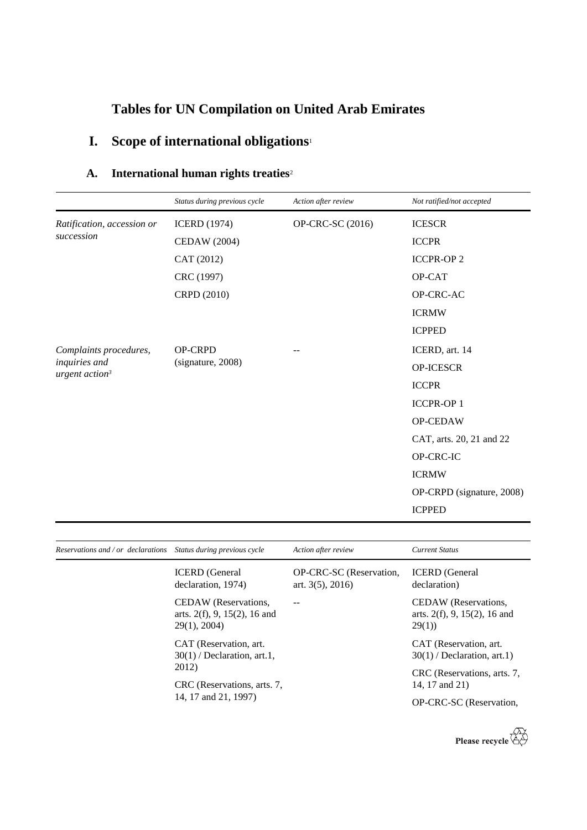# **Tables for UN Compilation on United Arab Emirates**

# **I. Scope of international obligations**<sup>1</sup>

| A. | International human rights treaties <sup>2</sup> |  |  |  |
|----|--------------------------------------------------|--|--|--|
|----|--------------------------------------------------|--|--|--|

|                                   | Status during previous cycle        | Action after review | Not ratified/not accepted |
|-----------------------------------|-------------------------------------|---------------------|---------------------------|
| Ratification, accession or        | <b>ICERD</b> (1974)                 | OP-CRC-SC (2016)    | <b>ICESCR</b>             |
| succession                        | <b>CEDAW</b> (2004)                 |                     | <b>ICCPR</b>              |
|                                   | CAT (2012)                          |                     | <b>ICCPR-OP2</b>          |
|                                   | CRC (1997)                          |                     | OP-CAT                    |
|                                   | CRPD (2010)                         |                     | OP-CRC-AC                 |
|                                   |                                     |                     | <b>ICRMW</b>              |
|                                   |                                     |                     | <b>ICPPED</b>             |
| Complaints procedures,            | <b>OP-CRPD</b><br>(signature, 2008) |                     | ICERD, art. 14            |
| inquiries and<br>urgent $action3$ |                                     |                     | OP-ICESCR                 |
|                                   |                                     |                     | <b>ICCPR</b>              |
|                                   |                                     |                     | <b>ICCPR-OP1</b>          |
|                                   |                                     |                     | OP-CEDAW                  |
|                                   |                                     |                     | CAT, arts. 20, 21 and 22  |
|                                   |                                     |                     | OP-CRC-IC                 |
|                                   |                                     |                     | <b>ICRMW</b>              |
|                                   |                                     |                     | OP-CRPD (signature, 2008) |
|                                   |                                     |                     | <b>ICPPED</b>             |

| Reservations and / or declarations Status during previous cycle        | Action after review                               | Current Status                                                           |
|------------------------------------------------------------------------|---------------------------------------------------|--------------------------------------------------------------------------|
| <b>ICERD</b> (General<br>declaration, 1974)                            | OP-CRC-SC (Reservation,<br>art. $3(5)$ , $2016$ ) | <b>ICERD</b> (General<br>declaration)                                    |
| CEDAW (Reservations,<br>arts. $2(f)$ , 9, 15(2), 16 and<br>29(1), 2004 |                                                   | CEDAW (Reservations,<br>arts. $2(f)$ , 9, 15(2), 16 and<br>29(1)         |
| CAT (Reservation, art.<br>$30(1)$ / Declaration, art.1,                |                                                   | CAT (Reservation, art.<br>$30(1)$ / Declaration, art.1)                  |
| CRC (Reservations, arts. 7,<br>14, 17 and 21, 1997)                    |                                                   | CRC (Reservations, arts. 7,<br>14, 17 and 21)<br>OP-CRC-SC (Reservation, |
|                                                                        | 2012)                                             |                                                                          |

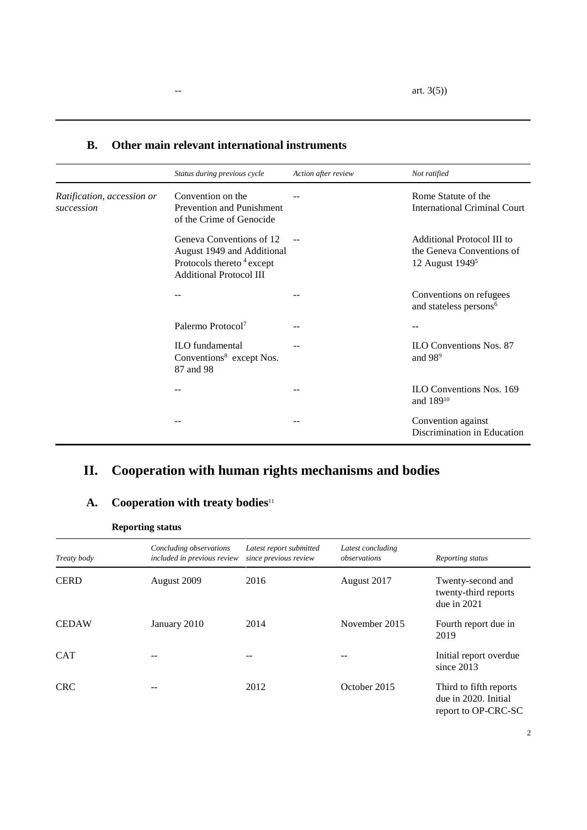|                                          | Status during previous cycle                                                                                                      | Action after review | Not ratified                                                                           |
|------------------------------------------|-----------------------------------------------------------------------------------------------------------------------------------|---------------------|----------------------------------------------------------------------------------------|
| Ratification, accession or<br>succession | Convention on the<br>Prevention and Punishment<br>of the Crime of Genocide                                                        |                     | Rome Statute of the<br><b>International Criminal Court</b>                             |
|                                          | Geneva Conventions of 12<br>August 1949 and Additional<br>Protocols thereto <sup>4</sup> except<br><b>Additional Protocol III</b> |                     | Additional Protocol III to<br>the Geneva Conventions of<br>12 August 1949 <sup>5</sup> |
|                                          |                                                                                                                                   |                     | Conventions on refugees<br>and stateless persons <sup>6</sup>                          |
|                                          | Palermo Protocol <sup>7</sup>                                                                                                     |                     |                                                                                        |
|                                          | <b>ILO</b> fundamental<br>Conventions <sup>8</sup> except Nos.<br>87 and 98                                                       |                     | <b>ILO Conventions Nos. 87</b><br>and 98 <sup>9</sup>                                  |
|                                          |                                                                                                                                   |                     | <b>ILO Conventions Nos. 169</b><br>and 189 <sup>10</sup>                               |
|                                          |                                                                                                                                   |                     | Convention against<br>Discrimination in Education                                      |

#### **B. Other main relevant international instruments**

## **II. Cooperation with human rights mechanisms and bodies**

### **A. Cooperation with treaty bodies**<sup>11</sup>

| <b>Reporting status</b> |                                                        |                                                  |                                   |                                                                       |  |
|-------------------------|--------------------------------------------------------|--------------------------------------------------|-----------------------------------|-----------------------------------------------------------------------|--|
| Treaty body             | Concluding observations<br>included in previous review | Latest report submitted<br>since previous review | Latest concluding<br>observations | Reporting status                                                      |  |
| <b>CERD</b>             | August 2009                                            | 2016                                             | August 2017                       | Twenty-second and<br>twenty-third reports<br>due in $2021$            |  |
| <b>CEDAW</b>            | January 2010                                           | 2014                                             | November 2015                     | Fourth report due in<br>2019                                          |  |
| <b>CAT</b>              |                                                        | --                                               |                                   | Initial report overdue<br>since $2013$                                |  |
| <b>CRC</b>              |                                                        | 2012                                             | October 2015                      | Third to fifth reports<br>due in 2020. Initial<br>report to OP-CRC-SC |  |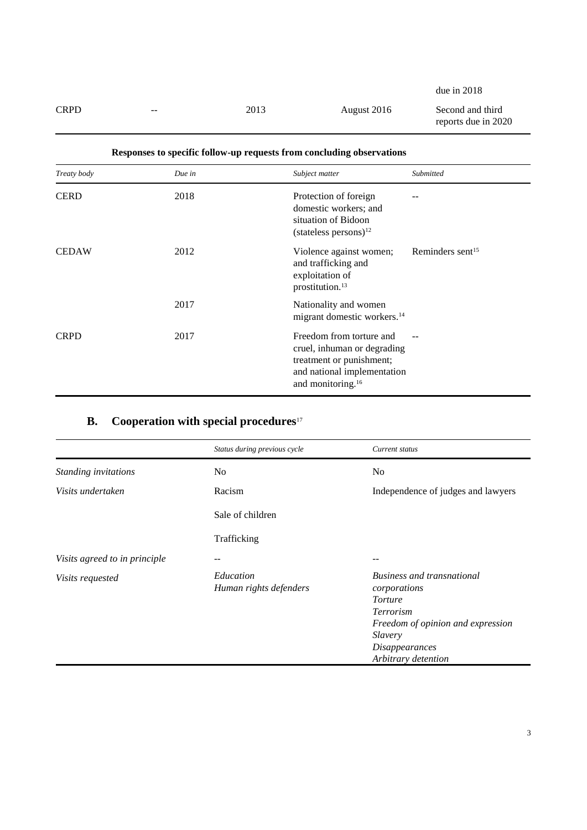due in 2018

CRPD -- 2013 August 2016 Second and third reports due in 2020

| Treaty body  | Due in | Subject matter                                                                                                                                      | Submitted                    |
|--------------|--------|-----------------------------------------------------------------------------------------------------------------------------------------------------|------------------------------|
| <b>CERD</b>  | 2018   | Protection of foreign<br>domestic workers; and<br>situation of Bidoon<br>$(stateless persons)^{12}$                                                 |                              |
| <b>CEDAW</b> | 2012   | Violence against women;<br>and trafficking and<br>exploitation of<br>prostitution. <sup>13</sup>                                                    | Reminders sent <sup>15</sup> |
|              | 2017   | Nationality and women<br>migrant domestic workers. <sup>14</sup>                                                                                    |                              |
| <b>CRPD</b>  | 2017   | Freedom from torture and<br>cruel, inhuman or degrading<br>treatment or punishment;<br>and national implementation<br>and monitoring. <sup>16</sup> |                              |

#### **Responses to specific follow-up requests from concluding observations**

### **B. Cooperation with special procedures**<sup>17</sup>

|                               | Status during previous cycle        | Current status                                                                                                                                                                   |
|-------------------------------|-------------------------------------|----------------------------------------------------------------------------------------------------------------------------------------------------------------------------------|
| Standing invitations          | N <sub>0</sub>                      | No                                                                                                                                                                               |
| Visits undertaken             | Racism                              | Independence of judges and lawyers                                                                                                                                               |
|                               | Sale of children                    |                                                                                                                                                                                  |
|                               | Trafficking                         |                                                                                                                                                                                  |
| Visits agreed to in principle |                                     | --                                                                                                                                                                               |
| <i>Visits requested</i>       | Education<br>Human rights defenders | <b>Business and transnational</b><br>corporations<br><b>Torture</b><br>Terrorism<br>Freedom of opinion and expression<br>Slavery<br><b>Disappearances</b><br>Arbitrary detention |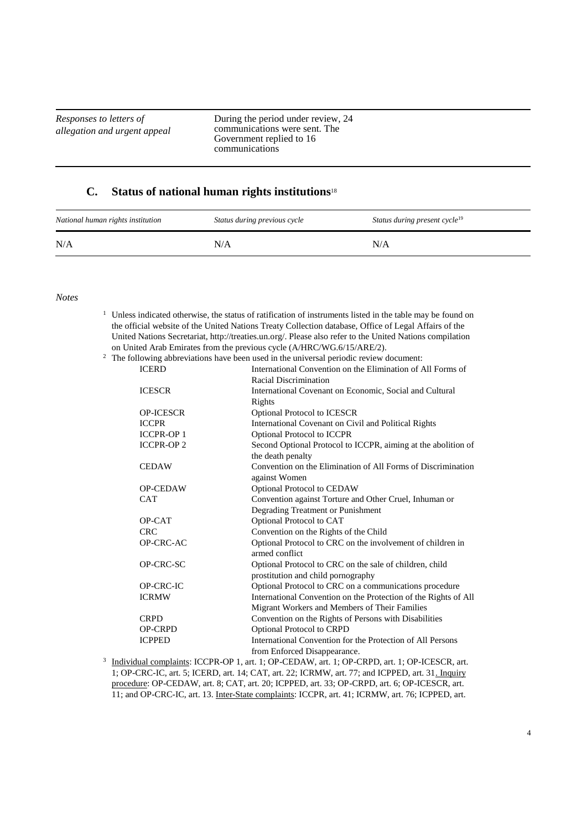*Responses to letters of allegation and urgent appeal* During the period under review, 24 communications were sent. The Government replied to 16 communications

#### **C. Status of national human rights institutions**<sup>18</sup>

| National human rights institution | Status during previous cycle | Status during present cycle <sup>19</sup> |
|-----------------------------------|------------------------------|-------------------------------------------|
| N/A                               | N/A                          | N/A                                       |

*Notes*

- $1$  Unless indicated otherwise, the status of ratification of instruments listed in the table may be found on the official website of the United Nations Treaty Collection database, Office of Legal Affairs of the United Nations Secretariat, http://treaties.un.org/. Please also refer to the United Nations compilation on United Arab Emirates from the previous cycle (A/HRC/WG.6/15/ARE/2).
- <sup>2</sup> The following abbreviations have been used in the universal periodic review document:

|              |                  | following aboleviations have been used in the universal perfoule fevrew document. |
|--------------|------------------|-----------------------------------------------------------------------------------|
| <b>ICERD</b> |                  | International Convention on the Elimination of All Forms of                       |
|              |                  | Racial Discrimination                                                             |
|              | <b>ICESCR</b>    | International Covenant on Economic, Social and Cultural                           |
|              |                  | Rights                                                                            |
|              | <b>OP-ICESCR</b> | Optional Protocol to ICESCR                                                       |
|              | <b>ICCPR</b>     | International Covenant on Civil and Political Rights                              |
|              | <b>ICCPR-OP1</b> | <b>Optional Protocol to ICCPR</b>                                                 |
|              | <b>ICCPR-OP2</b> | Second Optional Protocol to ICCPR, aiming at the abolition of                     |
|              |                  | the death penalty                                                                 |
|              | <b>CEDAW</b>     | Convention on the Elimination of All Forms of Discrimination                      |
|              |                  | against Women                                                                     |
|              | <b>OP-CEDAW</b>  | Optional Protocol to CEDAW                                                        |
|              | <b>CAT</b>       | Convention against Torture and Other Cruel, Inhuman or                            |
|              |                  | Degrading Treatment or Punishment                                                 |
|              | OP-CAT           | Optional Protocol to CAT                                                          |
|              | <b>CRC</b>       | Convention on the Rights of the Child                                             |
|              | OP-CRC-AC        | Optional Protocol to CRC on the involvement of children in                        |
|              |                  | armed conflict                                                                    |
|              | OP-CRC-SC        | Optional Protocol to CRC on the sale of children, child                           |
|              |                  | prostitution and child pornography                                                |
|              | OP-CRC-IC        | Optional Protocol to CRC on a communications procedure                            |
|              | <b>ICRMW</b>     | International Convention on the Protection of the Rights of All                   |
|              |                  | Migrant Workers and Members of Their Families                                     |
|              | <b>CRPD</b>      | Convention on the Rights of Persons with Disabilities                             |
|              | <b>OP-CRPD</b>   | <b>Optional Protocol to CRPD</b>                                                  |
|              | <b>ICPPED</b>    | International Convention for the Protection of All Persons                        |
|              |                  | from Enforced Disappearance.                                                      |
|              |                  |                                                                                   |

3 Individual complaints: ICCPR-OP 1, art. 1; OP-CEDAW, art. 1; OP-CRPD, art. 1; OP-ICESCR, art. 1; OP-CRC-IC, art. 5; ICERD, art. 14; CAT, art. 22; ICRMW, art. 77; and ICPPED, art. 31. Inquiry procedure: OP-CEDAW, art. 8; CAT, art. 20; ICPPED, art. 33; OP-CRPD, art. 6; OP-ICESCR, art. 11; and OP-CRC-IC, art. 13. Inter-State complaints: ICCPR, art. 41; ICRMW, art. 76; ICPPED, art.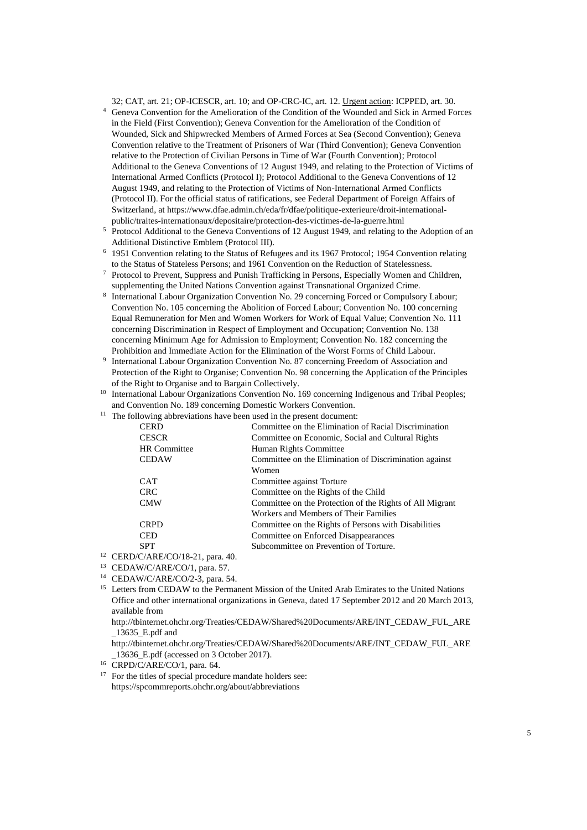32; CAT, art. 21; OP-ICESCR, art. 10; and OP-CRC-IC, art. 12. Urgent action: ICPPED, art. 30.

- <sup>4</sup> Geneva Convention for the Amelioration of the Condition of the Wounded and Sick in Armed Forces in the Field (First Convention); Geneva Convention for the Amelioration of the Condition of Wounded, Sick and Shipwrecked Members of Armed Forces at Sea (Second Convention); Geneva Convention relative to the Treatment of Prisoners of War (Third Convention); Geneva Convention relative to the Protection of Civilian Persons in Time of War (Fourth Convention); Protocol Additional to the Geneva Conventions of 12 August 1949, and relating to the Protection of Victims of International Armed Conflicts (Protocol I); Protocol Additional to the Geneva Conventions of 12 August 1949, and relating to the Protection of Victims of Non-International Armed Conflicts (Protocol II). For the official status of ratifications, see Federal Department of Foreign Affairs of Switzerland, at https://www.dfae.admin.ch/eda/fr/dfae/politique-exterieure/droit-internationalpublic/traites-internationaux/depositaire/protection-des-victimes-de-la-guerre.html
- <sup>5</sup> Protocol Additional to the Geneva Conventions of 12 August 1949, and relating to the Adoption of an Additional Distinctive Emblem (Protocol III).
- <sup>6</sup> 1951 Convention relating to the Status of Refugees and its 1967 Protocol; 1954 Convention relating to the Status of Stateless Persons; and 1961 Convention on the Reduction of Statelessness.
- <sup>7</sup> Protocol to Prevent, Suppress and Punish Trafficking in Persons, Especially Women and Children, supplementing the United Nations Convention against Transnational Organized Crime.
- 8 International Labour Organization Convention No. 29 concerning Forced or Compulsory Labour; Convention No. 105 concerning the Abolition of Forced Labour; Convention No. 100 concerning Equal Remuneration for Men and Women Workers for Work of Equal Value; Convention No. 111 concerning Discrimination in Respect of Employment and Occupation; Convention No. 138 concerning Minimum Age for Admission to Employment; Convention No. 182 concerning the Prohibition and Immediate Action for the Elimination of the Worst Forms of Child Labour.
- 9 International Labour Organization Convention No. 87 concerning Freedom of Association and Protection of the Right to Organise; Convention No. 98 concerning the Application of the Principles of the Right to Organise and to Bargain Collectively.
- <sup>10</sup> International Labour Organizations Convention No. 169 concerning Indigenous and Tribal Peoples; and Convention No. 189 concerning Domestic Workers Convention.
- $11$  The following abbreviations have been used in the present document:

| Committee on the Elimination of Discrimination against   |
|----------------------------------------------------------|
|                                                          |
|                                                          |
|                                                          |
| Committee on the Protection of the Rights of All Migrant |
|                                                          |
|                                                          |
|                                                          |
|                                                          |
|                                                          |

- <sup>12</sup> CERD/C/ARE/CO/18-21, para. 40.
- <sup>13</sup> CEDAW/C/ARE/CO/1, para. 57.
- <sup>14</sup> CEDAW/C/ARE/CO/2-3, para. 54.
- <sup>15</sup> Letters from CEDAW to the Permanent Mission of the United Arab Emirates to the United Nations Office and other international organizations in Geneva, dated 17 September 2012 and 20 March 2013, available from

http://tbinternet.ohchr.org/Treaties/CEDAW/Shared%20Documents/ARE/INT\_CEDAW\_FUL\_ARE \_13635\_E.pdf and

http://tbinternet.ohchr.org/Treaties/CEDAW/Shared%20Documents/ARE/INT\_CEDAW\_FUL\_ARE \_13636\_E.pdf (accessed on 3 October 2017).

<sup>16</sup> CRPD/C/ARE/CO/1, para. 64.

<sup>17</sup> For the titles of special procedure mandate holders see: https://spcommreports.ohchr.org/about/abbreviations